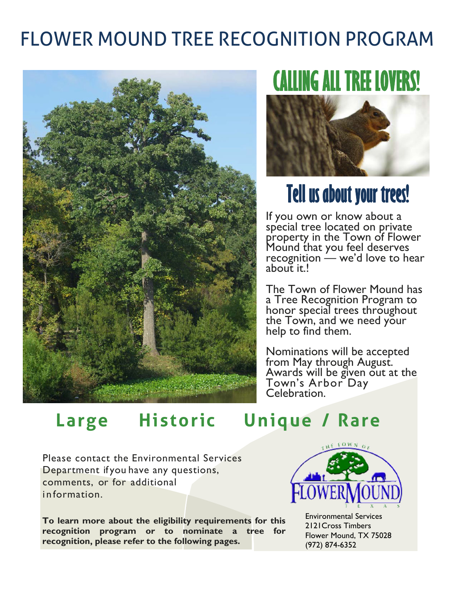## FLOWER MOUND TREE RECOGNITION PROGRAM



# **CALLING ALL TREE LOVERS!**



If you own or know about a special tree located on private property in the Town of Flower Mound that you feel deserves recognition  $\frac{1}{x}$  we'd love to hear about it.!

The Town of Flower Mound has a Tree Recognition Program to honor special trees throughout the Town, and we need your<br>help to find them.

Nominations will be accepted from May through August. Awards will be given out at the Town's Arbor Day Celebration.

### **Large Historic Unique / Rare**

Please contact the Environmental Services Department if you have any questions, comments, or for additional information.

**To learn more about the eligibility requirements for this recognition program or to nominate a tree for recognition, please refer to the following pages.**



 Environmental Services 2121Cross Timbers Flower Mound, TX 75028 (972) 874-6352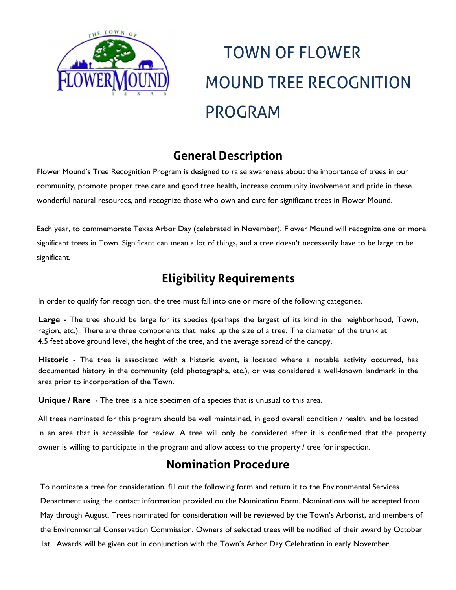

# TOWN OF FLOWER MOUND TREE RECOGNITION PROGRAM

#### **General Description**

Flower Mound's Tree Recognition Program is designed to raise awareness about the importance of trees in our community, promote proper tree care and good tree health, increase community involvement and pride in these wonderful natural resources, and recognize those who own and care for significant trees in Flower Mound.

Each year, to commemorate Texas Arbor Day (celebrated in November), Flower Mound will recognize one or more significant trees in Town. Significant can mean a lot of things, and a tree doesn't necessarily have to be large to be significant.

#### **Eligibility Requirements**

In order to qualify for recognition, the tree must fall into one or more of the following categories.

**Large -** The tree should be large for its species (perhaps the largest of its kind in the neighborhood, Town, region, etc.). There are three components that make up the size of a tree. The diameter of the trunk at 4.5 feet above ground level, the height of the tree, and the average spread of the canopy.

**Historic** - The tree is associated with a historic event, is located where a notable activity occurred, has documented history in the community (old photographs, etc.), or was considered a well-known landmark in the area prior to incorporation of the Town.

**Unique / Rare** - The tree is a nice specimen of a species that is unusual to this area.

All trees nominated for this program should be well maintained, in good overall condition / health, and be located in an area that is accessible for review. A tree will only be considered after it is confirmed that the property owner is willing to participate in the program and allow access to the property / tree for inspection.

#### **Nomination Procedure**

To nominate a tree for consideration, fill out the following form and return it to the Environmental Services Department using the contact information provided on the Nomination Form. Nominations will be accepted from May through August. Trees nominated for consideration will be reviewed by the Town's Arborist, and members of the Environmental Conservation Commission. Owners of selected trees will be notified of their award by October 1st. Awards will be given out in conjunction with the Town's Arbor Day Celebration in early November.